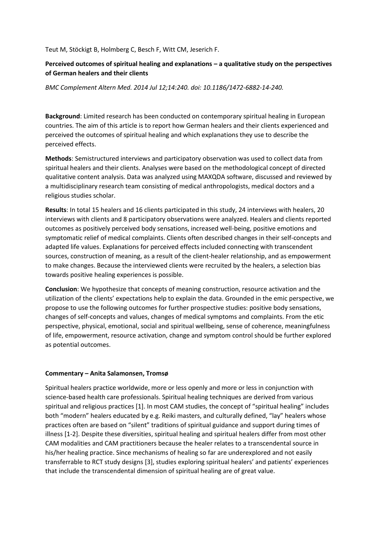Teut M, Stöckigt B, Holmberg C, Besch F, Witt CM, Jeserich F.

## **Perceived outcomes of spiritual healing and explanations – a qualitative study on the perspectives of German healers and their clients**

*BMC Complement Altern Med. 2014 Jul 12;14:240. doi: 10.1186/1472-6882-14-240.*

**Background**: Limited research has been conducted on contemporary spiritual healing in European countries. The aim of this article is to report how German healers and their clients experienced and perceived the outcomes of spiritual healing and which explanations they use to describe the perceived effects.

**Methods**: Semistructured interviews and participatory observation was used to collect data from spiritual healers and their clients. Analyses were based on the methodological concept of directed qualitative content analysis. Data was analyzed using MAXQDA software, discussed and reviewed by a multidisciplinary research team consisting of medical anthropologists, medical doctors and a religious studies scholar.

**Results**: In total 15 healers and 16 clients participated in this study, 24 interviews with healers, 20 interviews with clients and 8 participatory observations were analyzed. Healers and clients reported outcomes as positively perceived body sensations, increased well-being, positive emotions and symptomatic relief of medical complaints. Clients often described changes in their self-concepts and adapted life values. Explanations for perceived effects included connecting with transcendent sources, construction of meaning, as a result of the client-healer relationship, and as empowerment to make changes. Because the interviewed clients were recruited by the healers, a selection bias towards positive healing experiences is possible.

**Conclusion**: We hypothesize that concepts of meaning construction, resource activation and the utilization of the clients' expectations help to explain the data. Grounded in the emic perspective, we propose to use the following outcomes for further prospective studies: positive body sensations, changes of self-concepts and values, changes of medical symptoms and complaints. From the etic perspective, physical, emotional, social and spiritual wellbeing, sense of coherence, meaningfulness of life, empowerment, resource activation, change and symptom control should be further explored as potential outcomes.

## **Commentary – Anita Salamonsen, Tromsø**

Spiritual healers practice worldwide, more or less openly and more or less in conjunction with science-based health care professionals. Spiritual healing techniques are derived from various spiritual and religious practices [1]. In most CAM studies, the concept of "spiritual healing" includes both "modern" healers educated by e.g. Reiki masters, and culturally defined, "lay" healers whose practices often are based on "silent" traditions of spiritual guidance and support during times of illness [1-2]. Despite these diversities, spiritual healing and spiritual healers differ from most other CAM modalities and CAM practitioners because the healer relates to a transcendental source in his/her healing practice. Since mechanisms of healing so far are underexplored and not easily transferrable to RCT study designs [3], studies exploring spiritual healers' and patients' experiences that include the transcendental dimension of spiritual healing are of great value.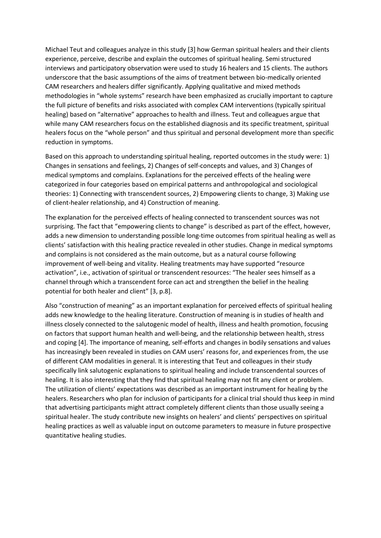Michael Teut and colleagues analyze in this study [3] how German spiritual healers and their clients experience, perceive, describe and explain the outcomes of spiritual healing. Semi structured interviews and participatory observation were used to study 16 healers and 15 clients. The authors underscore that the basic assumptions of the aims of treatment between bio-medically oriented CAM researchers and healers differ significantly. Applying qualitative and mixed methods methodologies in "whole systems" research have been emphasized as crucially important to capture the full picture of benefits and risks associated with complex CAM interventions (typically spiritual healing) based on "alternative" approaches to health and illness. Teut and colleagues argue that while many CAM researchers focus on the established diagnosis and its specific treatment, spiritual healers focus on the "whole person" and thus spiritual and personal development more than specific reduction in symptoms.

Based on this approach to understanding spiritual healing, reported outcomes in the study were: 1) Changes in sensations and feelings, 2) Changes of self-concepts and values, and 3) Changes of medical symptoms and complains. Explanations for the perceived effects of the healing were categorized in four categories based on empirical patterns and anthropological and sociological theories: 1) Connecting with transcendent sources, 2) Empowering clients to change, 3) Making use of client-healer relationship, and 4) Construction of meaning.

The explanation for the perceived effects of healing connected to transcendent sources was not surprising. The fact that "empowering clients to change" is described as part of the effect, however, adds a new dimension to understanding possible long-time outcomes from spiritual healing as well as clients' satisfaction with this healing practice revealed in other studies. Change in medical symptoms and complains is not considered as the main outcome, but as a natural course following improvement of well-being and vitality. Healing treatments may have supported "resource activation", i.e., activation of spiritual or transcendent resources: "The healer sees himself as a channel through which a transcendent force can act and strengthen the belief in the healing potential for both healer and client" [3, p.8].

Also "construction of meaning" as an important explanation for perceived effects of spiritual healing adds new knowledge to the healing literature. Construction of meaning is in studies of health and illness closely connected to the salutogenic model of health, illness and health promotion, focusing on factors that support human health and well-being, and the relationship between health, stress and coping [4]. The importance of meaning, self-efforts and changes in bodily sensations and values has increasingly been revealed in studies on CAM users' reasons for, and experiences from, the use of different CAM modalities in general. It is interesting that Teut and colleagues in their study specifically link salutogenic explanations to spiritual healing and include transcendental sources of healing. It is also interesting that they find that spiritual healing may not fit any client or problem. The utilization of clients' expectations was described as an important instrument for healing by the healers. Researchers who plan for inclusion of participants for a clinical trial should thus keep in mind that advertising participants might attract completely different clients than those usually seeing a spiritual healer. The study contribute new insights on healers' and clients' perspectives on spiritual healing practices as well as valuable input on outcome parameters to measure in future prospective quantitative healing studies.